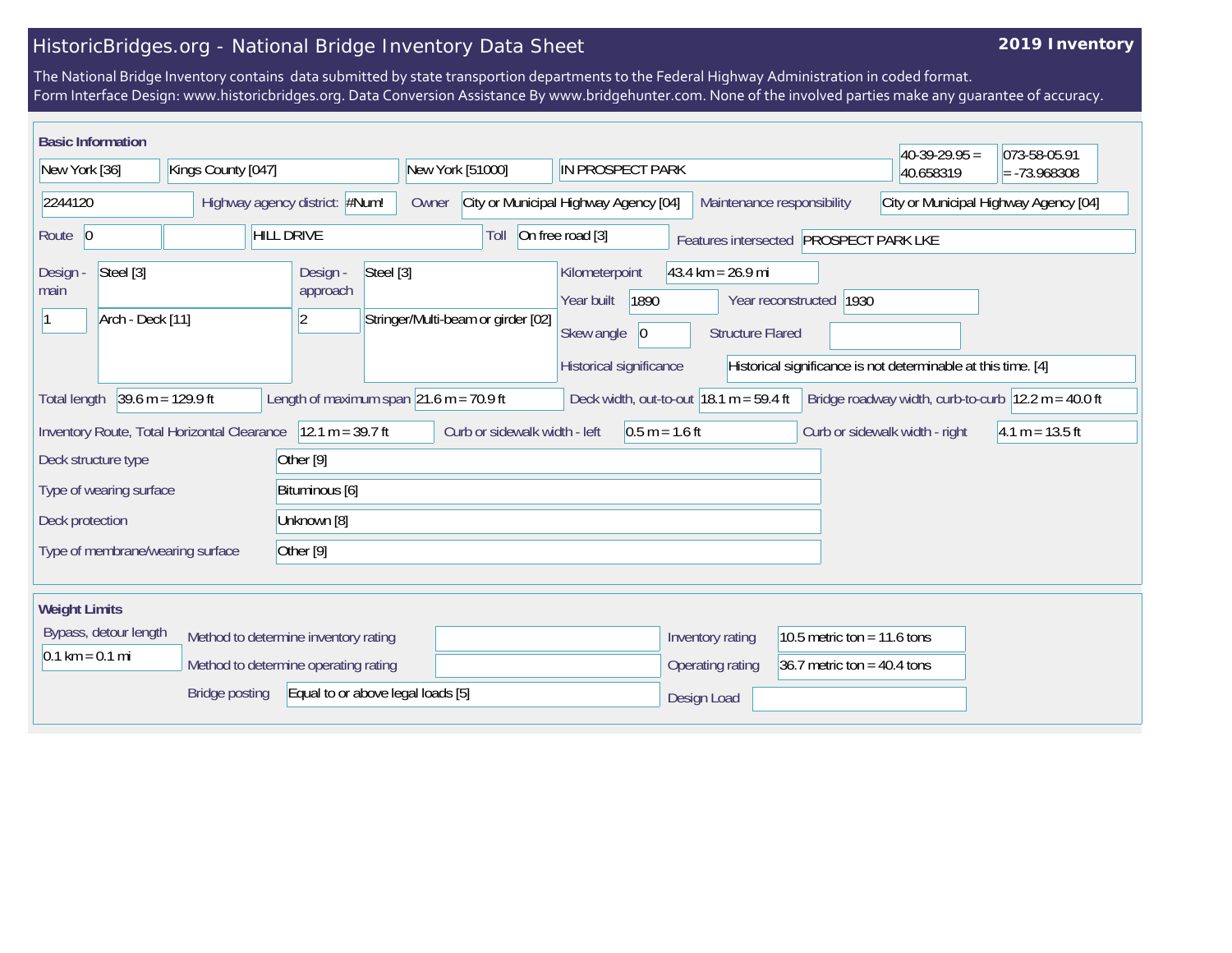## HistoricBridges.org - National Bridge Inventory Data Sheet

## **2019 Inventory**

The National Bridge Inventory contains data submitted by state transportion departments to the Federal Highway Administration in coded format. Form Interface Design: www.historicbridges.org. Data Conversion Assistance By www.bridgehunter.com. None of the involved parties make any guarantee of accuracy.

| <b>Basic Information</b>                                                                                                                                                                                                                                |  |                                                   |                                    |                                                                                                                                                        |                                        |                                       |  |  |
|---------------------------------------------------------------------------------------------------------------------------------------------------------------------------------------------------------------------------------------------------------|--|---------------------------------------------------|------------------------------------|--------------------------------------------------------------------------------------------------------------------------------------------------------|----------------------------------------|---------------------------------------|--|--|
| New York [36]<br>Kings County [047]                                                                                                                                                                                                                     |  | New York [51000]                                  | IN PROSPECT PARK                   |                                                                                                                                                        | $40-39-29.95 =$<br>40.658319           | 073-58-05.91<br>$= -73.968308$        |  |  |
| Highway agency district: #Num!<br>2244120                                                                                                                                                                                                               |  |                                                   | Owner                              | City or Municipal Highway Agency [04]<br>Maintenance responsibility                                                                                    |                                        | City or Municipal Highway Agency [04] |  |  |
| Route 0                                                                                                                                                                                                                                                 |  | <b>HILL DRIVE</b>                                 | Toll                               | On free road [3]                                                                                                                                       | Features intersected PROSPECT PARK LKE |                                       |  |  |
| Steel [3]<br>Steel [3]<br>Design -<br>Design -<br>approach<br>main<br>Arch - Deck [11]<br> 2                                                                                                                                                            |  |                                                   | Stringer/Multi-beam or girder [02] | $43.4 \text{ km} = 26.9 \text{ mi}$<br>Kilometerpoint<br>1890<br>Year reconstructed 1930<br>Year built<br>Skew angle<br> 0 <br><b>Structure Flared</b> |                                        |                                       |  |  |
|                                                                                                                                                                                                                                                         |  |                                                   | Historical significance            | Historical significance is not determinable at this time. [4]                                                                                          |                                        |                                       |  |  |
| $39.6 \text{ m} = 129.9 \text{ ft}$<br>Length of maximum span $\vert$ 21.6 m = 70.9 ft<br>Deck width, out-to-out $ 18.1 \text{ m} = 59.4 \text{ ft} $<br>Bridge roadway width, curb-to-curb $ 12.2 \text{ m} = 40.0 \text{ ft} $<br><b>Total length</b> |  |                                                   |                                    |                                                                                                                                                        |                                        |                                       |  |  |
| $12.1 m = 39.7 ft$<br>Inventory Route, Total Horizontal Clearance                                                                                                                                                                                       |  | Curb or sidewalk width - left<br>$0.5 m = 1.6 ft$ |                                    |                                                                                                                                                        | Curb or sidewalk width - right         | $4.1 m = 13.5 ft$                     |  |  |
| Deck structure type                                                                                                                                                                                                                                     |  | Other <sup>[9]</sup>                              |                                    |                                                                                                                                                        |                                        |                                       |  |  |
| Type of wearing surface<br>Bituminous [6]                                                                                                                                                                                                               |  |                                                   |                                    |                                                                                                                                                        |                                        |                                       |  |  |
| Deck protection<br>Unknown [8]                                                                                                                                                                                                                          |  |                                                   |                                    |                                                                                                                                                        |                                        |                                       |  |  |
| Other [9]<br>Type of membrane/wearing surface                                                                                                                                                                                                           |  |                                                   |                                    |                                                                                                                                                        |                                        |                                       |  |  |
| <b>Weight Limits</b>                                                                                                                                                                                                                                    |  |                                                   |                                    |                                                                                                                                                        |                                        |                                       |  |  |
| Bypass, detour length<br>Method to determine inventory rating                                                                                                                                                                                           |  |                                                   |                                    | Inventory rating                                                                                                                                       | 10.5 metric ton = 11.6 tons            |                                       |  |  |
| $0.1 \text{ km} = 0.1 \text{ mi}$<br>Method to determine operating rating                                                                                                                                                                               |  |                                                   |                                    | Operating rating                                                                                                                                       | 36.7 metric ton = $40.4$ tons          |                                       |  |  |
| Equal to or above legal loads [5]<br>Bridge posting                                                                                                                                                                                                     |  |                                                   |                                    | Design Load                                                                                                                                            |                                        |                                       |  |  |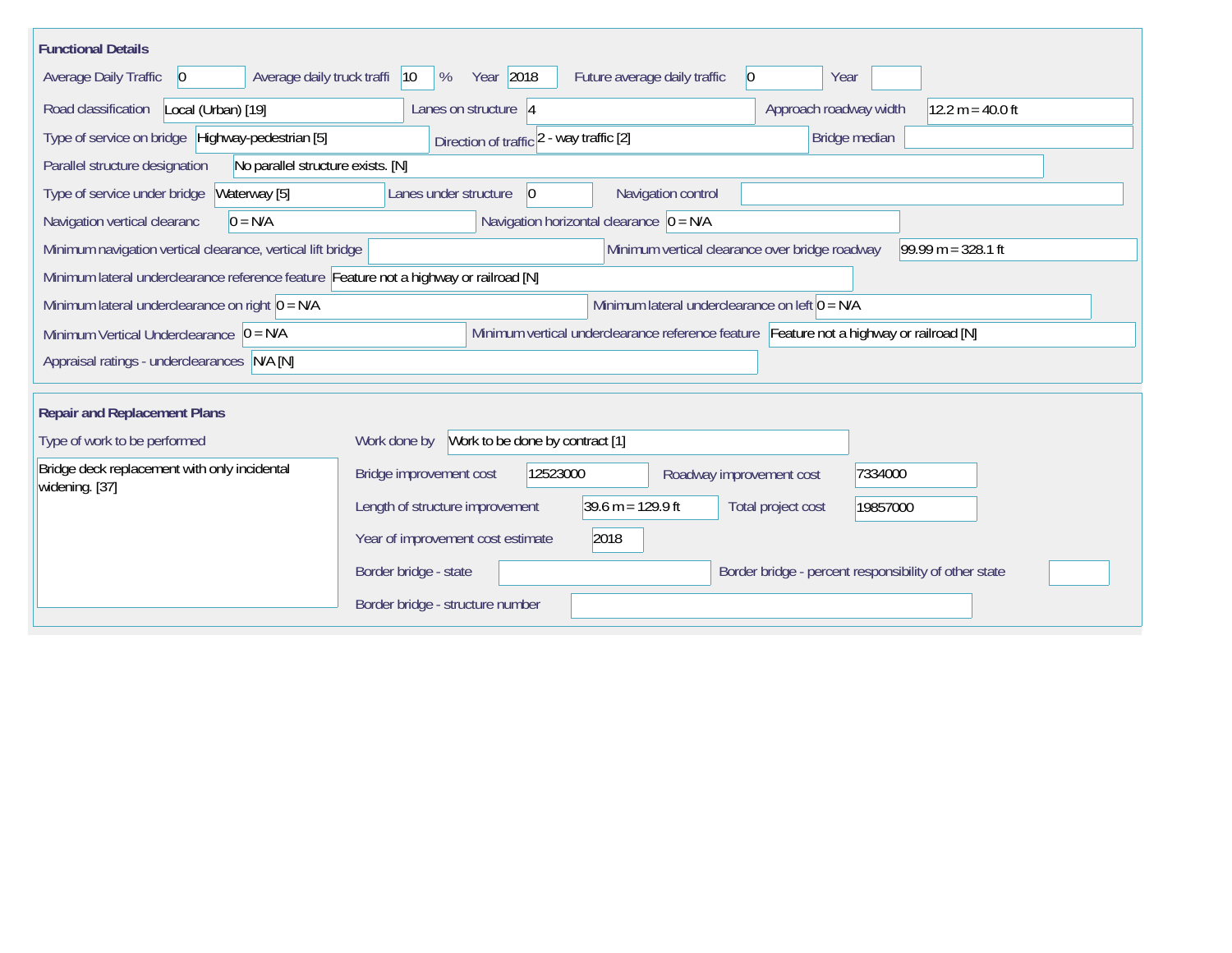| <b>Functional Details</b>                                                                                                             |                                                                                         |                                             |                                             |                                                       |                    |  |
|---------------------------------------------------------------------------------------------------------------------------------------|-----------------------------------------------------------------------------------------|---------------------------------------------|---------------------------------------------|-------------------------------------------------------|--------------------|--|
| Average daily truck traffi<br>Average Daily Traffic<br>$\vert 0 \vert$                                                                | Year 2018<br>$ 10\rangle$<br>%                                                          |                                             | Future average daily traffic<br>$ 0\rangle$ | Year                                                  |                    |  |
| Road classification<br>Local (Urban) [19]                                                                                             | Lanes on structure 4                                                                    |                                             |                                             | Approach roadway width                                | $12.2 m = 40.0 ft$ |  |
| Type of service on bridge Highway-pedestrian [5]                                                                                      | Direction of traffic 2 - way traffic [2]                                                |                                             |                                             | Bridge median                                         |                    |  |
| Parallel structure designation<br>No parallel structure exists. [N]                                                                   |                                                                                         |                                             |                                             |                                                       |                    |  |
| Waterway [5]<br>Type of service under bridge                                                                                          | Lanes under structure<br>$\vert$ 0                                                      |                                             | Navigation control                          |                                                       |                    |  |
| Navigation vertical clearanc<br>$0 = N/A$                                                                                             |                                                                                         | Navigation horizontal clearance $ 0 = N/A $ |                                             |                                                       |                    |  |
| Minimum vertical clearance over bridge roadway<br>$99.99 m = 328.1 ft$<br>Minimum navigation vertical clearance, vertical lift bridge |                                                                                         |                                             |                                             |                                                       |                    |  |
| Minimum lateral underclearance reference feature Feature not a highway or railroad [N]                                                |                                                                                         |                                             |                                             |                                                       |                    |  |
| Minimum lateral underclearance on left $0 = N/A$<br>Minimum lateral underclearance on right $0 = N/A$                                 |                                                                                         |                                             |                                             |                                                       |                    |  |
| Minimum Vertical Underclearance $ 0 = N/A $                                                                                           | Minimum vertical underclearance reference feature Feature not a highway or railroad [N] |                                             |                                             |                                                       |                    |  |
| Appraisal ratings - underclearances N/A [N]                                                                                           |                                                                                         |                                             |                                             |                                                       |                    |  |
| <b>Repair and Replacement Plans</b>                                                                                                   |                                                                                         |                                             |                                             |                                                       |                    |  |
| Type of work to be performed                                                                                                          | Work done by                                                                            | Work to be done by contract [1]             |                                             |                                                       |                    |  |
| Bridge deck replacement with only incidental<br>widening. [37]                                                                        | Bridge improvement cost                                                                 | 12523000                                    | Roadway improvement cost                    | 7334000                                               |                    |  |
|                                                                                                                                       | Length of structure improvement                                                         | $39.6 \text{ m} = 129.9 \text{ ft}$         |                                             | Total project cost<br>19857000                        |                    |  |
|                                                                                                                                       | 2018<br>Year of improvement cost estimate                                               |                                             |                                             |                                                       |                    |  |
|                                                                                                                                       | Border bridge - state                                                                   |                                             |                                             | Border bridge - percent responsibility of other state |                    |  |
|                                                                                                                                       | Border bridge - structure number                                                        |                                             |                                             |                                                       |                    |  |